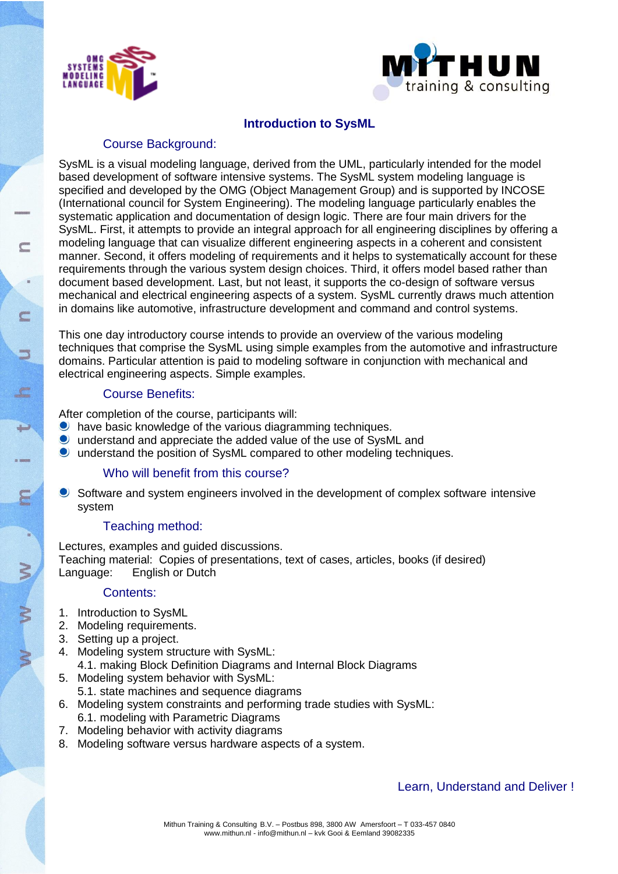



## **Introduction to SysML**

# Course Background:

SysML is a visual modeling language, derived from the UML, particularly intended for the model based development of software intensive systems. The SysML system modeling language is specified and developed by the OMG (Object Management Group) and is supported by INCOSE (International council for System Engineering). The modeling language particularly enables the systematic application and documentation of design logic. There are four main drivers for the SysML. First, it attempts to provide an integral approach for all engineering disciplines by offering a modeling language that can visualize different engineering aspects in a coherent and consistent manner. Second, it offers modeling of requirements and it helps to systematically account for these requirements through the various system design choices. Third, it offers model based rather than document based development. Last, but not least, it supports the co-design of software versus mechanical and electrical engineering aspects of a system. SysML currently draws much attention in domains like automotive, infrastructure development and command and control systems.

This one day introductory course intends to provide an overview of the various modeling techniques that comprise the SysML using simple examples from the automotive and infrastructure domains. Particular attention is paid to modeling software in conjunction with mechanical and electrical engineering aspects. Simple examples.

### Course Benefits:

After completion of the course, participants will:

- **O** have basic knowledge of the various diagramming techniques.
- understand and appreciate the added value of the use of SysML and
- understand the position of SysML compared to other modeling techniques.

### Who will benefit from this course?

**Software and system engineers involved in the development of complex software intensive** system

### Teaching method:

Lectures, examples and guided discussions. Teaching material: Copies of presentations, text of cases, articles, books (if desired) Language: English or Dutch

#### Contents:

- 1. Introduction to SysML
- 2. Modeling requirements.
- 3. Setting up a project.
- 4. Modeling system structure with SysML: 4.1. making Block Definition Diagrams and Internal Block Diagrams
- 5. Modeling system behavior with SysML:
- 5.1. state machines and sequence diagrams
- 6. Modeling system constraints and performing trade studies with SysML: 6.1. modeling with Parametric Diagrams
- 7. Modeling behavior with activity diagrams
- 8. Modeling software versus hardware aspects of a system.

### Learn, Understand and Deliver !